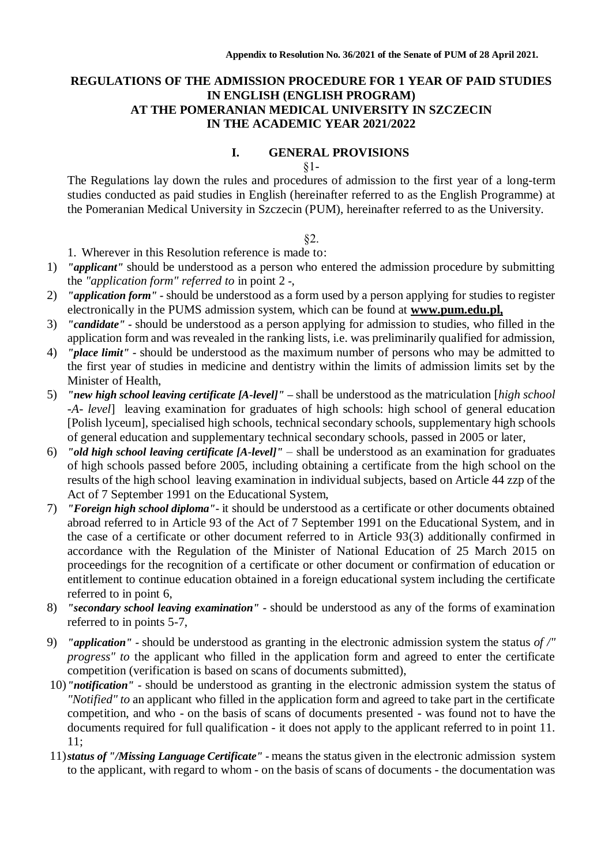### **REGULATIONS OF THE ADMISSION PROCEDURE FOR 1 YEAR OF PAID STUDIES IN ENGLISH (ENGLISH PROGRAM) AT THE POMERANIAN MEDICAL UNIVERSITY IN SZCZECIN IN THE ACADEMIC YEAR 2021/2022**

#### **I. GENERAL PROVISIONS** §1-

The Regulations lay down the rules and procedures of admission to the first year of a long-term studies conducted as paid studies in English (hereinafter referred to as the English Programme) at the Pomeranian Medical University in Szczecin (PUM), hereinafter referred to as the University.

#### §2.

1. Wherever in this Resolution reference is made to:

- 1) *"applicant"* should be understood as a person who entered the admission procedure by submitting the *"application form" referred to* in point 2 *-*,
- 2) *"application form" -* should be understood as a form used by a person applying for studies to register electronically in the PUMS admission system, which can be found at **[www.pum.edu.pl,](http://www.pum.edu.pl/)**
- 3) *"candidate" -* should be understood as a person applying for admission to studies, who filled in the application form and was revealed in the ranking lists, i.e. was preliminarily qualified for admission,
- 4) *"place limit" -* should be understood as the maximum number of persons who may be admitted to the first year of studies in medicine and dentistry within the limits of admission limits set by the Minister of Health,
- 5) *"new high school leaving certificate [A-level]" –* shall be understood as the matriculation [*high school -A- level*] leaving examination for graduates of high schools: high school of general education [Polish lyceum], specialised high schools, technical secondary schools, supplementary high schools of general education and supplementary technical secondary schools, passed in 2005 or later,
- 6) *"old high school leaving certificate [A-level]"*  shall be understood as an examination for graduates of high schools passed before 2005, including obtaining a certificate from the high school on the results of the high school leaving examination in individual subjects, based on Article 44 zzp of the Act of 7 September 1991 on the Educational System,
- 7) *"Foreign high school diploma"-* it should be understood as a certificate or other documents obtained abroad referred to in Article 93 of the Act of 7 September 1991 on the Educational System, and in the case of a certificate or other document referred to in Article 93(3) additionally confirmed in accordance with the Regulation of the Minister of National Education of 25 March 2015 on proceedings for the recognition of a certificate or other document or confirmation of education or entitlement to continue education obtained in a foreign educational system including the certificate referred to in point 6,
- 8) *"secondary school leaving examination" -* should be understood as any of the forms of examination referred to in points 5-7,
- 9) *"application" -* should be understood as granting in the electronic admission system the status *of /" progress" to the applicant who filled in the application form and agreed to enter the certificate* competition (verification is based on scans of documents submitted),
- 10)*"notification" -* should be understood as granting in the electronic admission system the status of *"Notified" to* an applicant who filled in the application form and agreed to take part in the certificate competition, and who - on the basis of scans of documents presented - was found not to have the documents required for full qualification - it does not apply to the applicant referred to in point 11. 11;
- 11)*status of "/Missing Language Certificate" -* means the status given in the electronic admission system to the applicant, with regard to whom - on the basis of scans of documents - the documentation was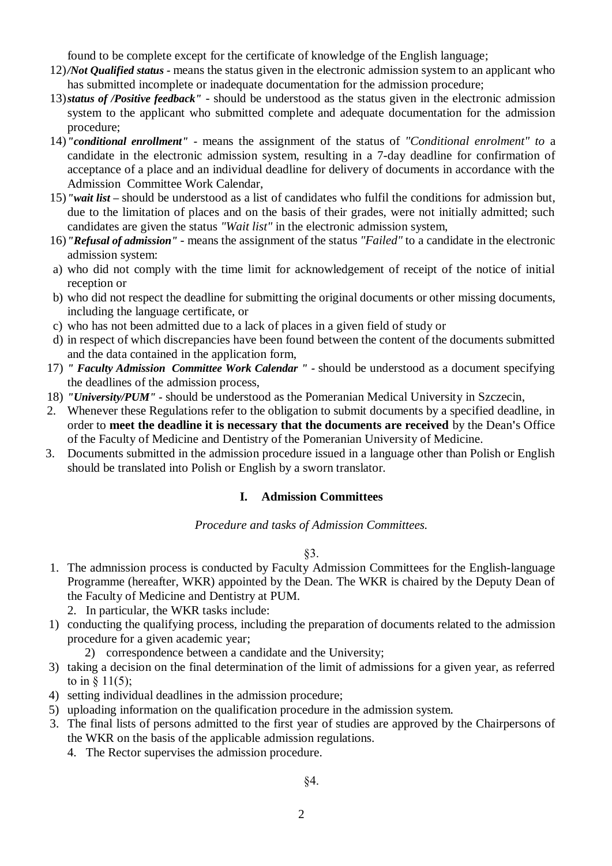found to be complete except for the certificate of knowledge of the English language;

- 12)*/Not Qualified status -* means the status given in the electronic admission system to an applicant who has submitted incomplete or inadequate documentation for the admission procedure;
- 13)*status of /Positive feedback"* should be understood as the status given in the electronic admission system to the applicant who submitted complete and adequate documentation for the admission procedure;
- 14)*"conditional enrollment" -* means the assignment of the status of *"Conditional enrolment" to* a candidate in the electronic admission system, resulting in a 7-day deadline for confirmation of acceptance of a place and an individual deadline for delivery of documents in accordance with the Admission Committee Work Calendar,
- 15)*"wait list –* should be understood as a list of candidates who fulfil the conditions for admission but, due to the limitation of places and on the basis of their grades, were not initially admitted; such candidates are given the status *"Wait list"* in the electronic admission system,
- 16)*"Refusal of admission"*  means the assignment of the status *"Failed"* to a candidate in the electronic admission system:
- a) who did not comply with the time limit for acknowledgement of receipt of the notice of initial reception or
- b) who did not respect the deadline for submitting the original documents or other missing documents, including the language certificate, or
- c) who has not been admitted due to a lack of places in a given field of study or
- d) in respect of which discrepancies have been found between the content of the documents submitted and the data contained in the application form,
- 17) *" Faculty Admission Committee Work Calendar " -* should be understood as a document specifying the deadlines of the admission process,
- 18) *"University/PUM" -* should be understood as the Pomeranian Medical University in Szczecin,
- 2. Whenever these Regulations refer to the obligation to submit documents by a specified deadline, in order to **meet the deadline it is necessary that the documents are received** by the Dean**'**s Office of the Faculty of Medicine and Dentistry of the Pomeranian University of Medicine.
- 3. Documents submitted in the admission procedure issued in a language other than Polish or English should be translated into Polish or English by a sworn translator.

#### **I. Admission Committees**

*Procedure and tasks of Admission Committees.*

#### §3.

1. The admnission process is conducted by Faculty Admission Committees for the English-language Programme (hereafter, WKR) appointed by the Dean. The WKR is chaired by the Deputy Dean of the Faculty of Medicine and Dentistry at PUM.

2. In particular, the WKR tasks include:

- 1) conducting the qualifying process, including the preparation of documents related to the admission procedure for a given academic year;
	- 2) correspondence between a candidate and the University;
- 3) taking a decision on the final determination of the limit of admissions for a given year, as referred to in § 11(5);
- 4) setting individual deadlines in the admission procedure;
- 5) uploading information on the qualification procedure in the admission system.
- 3. The final lists of persons admitted to the first year of studies are approved by the Chairpersons of the WKR on the basis of the applicable admission regulations.
	- 4. The Rector supervises the admission procedure.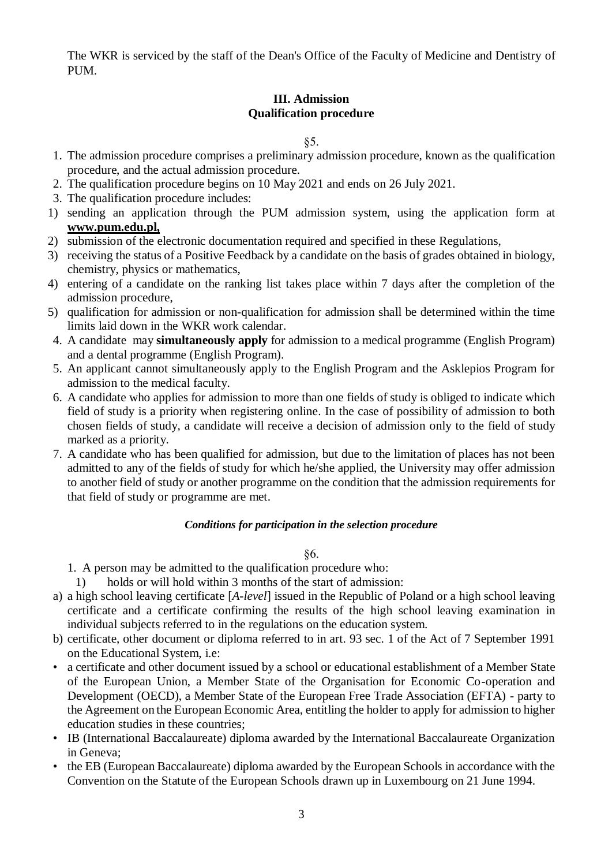The WKR is serviced by the staff of the Dean's Office of the Faculty of Medicine and Dentistry of PUM.

## **III. Admission Qualification procedure**

§5.

- 1. The admission procedure comprises a preliminary admission procedure, known as the qualification procedure, and the actual admission procedure.
- 2. The qualification procedure begins on 10 May 2021 and ends on 26 July 2021.
- 3. The qualification procedure includes:
- 1) sending an application through the PUM admission system, using the application form at **[www.pum.edu.pl,](http://www.pum.edu.pl/)**
- 2) submission of the electronic documentation required and specified in these Regulations,
- 3) receiving the status of a Positive Feedback by a candidate on the basis of grades obtained in biology, chemistry, physics or mathematics,
- 4) entering of a candidate on the ranking list takes place within 7 days after the completion of the admission procedure,
- 5) qualification for admission or non-qualification for admission shall be determined within the time limits laid down in the WKR work calendar.
- 4. A candidate may **simultaneously apply** for admission to a medical programme (English Program) and a dental programme (English Program).
- 5. An applicant cannot simultaneously apply to the English Program and the Asklepios Program for admission to the medical faculty.
- 6. A candidate who applies for admission to more than one fields of study is obliged to indicate which field of study is a priority when registering online. In the case of possibility of admission to both chosen fields of study, a candidate will receive a decision of admission only to the field of study marked as a priority.
- 7. A candidate who has been qualified for admission, but due to the limitation of places has not been admitted to any of the fields of study for which he/she applied, the University may offer admission to another field of study or another programme on the condition that the admission requirements for that field of study or programme are met.

## *Conditions for participation in the selection procedure*

§6.

- 1. A person may be admitted to the qualification procedure who:
	- 1) holds or will hold within 3 months of the start of admission:
- a) a high school leaving certificate [*A-level*] issued in the Republic of Poland or a high school leaving certificate and a certificate confirming the results of the high school leaving examination in individual subjects referred to in the regulations on the education system.
- b) certificate, other document or diploma referred to in art. 93 sec. 1 of the Act of 7 September 1991 on the Educational System, i.e:
- a certificate and other document issued by a school or educational establishment of a Member State of the European Union, a Member State of the Organisation for Economic Co-operation and Development (OECD), a Member State of the European Free Trade Association (EFTA) - party to the Agreement on the European Economic Area, entitling the holder to apply for admission to higher education studies in these countries;
- IB (International Baccalaureate) diploma awarded by the International Baccalaureate Organization in Geneva;
- the EB (European Baccalaureate) diploma awarded by the European Schools in accordance with the Convention on the Statute of the European Schools drawn up in Luxembourg on 21 June 1994.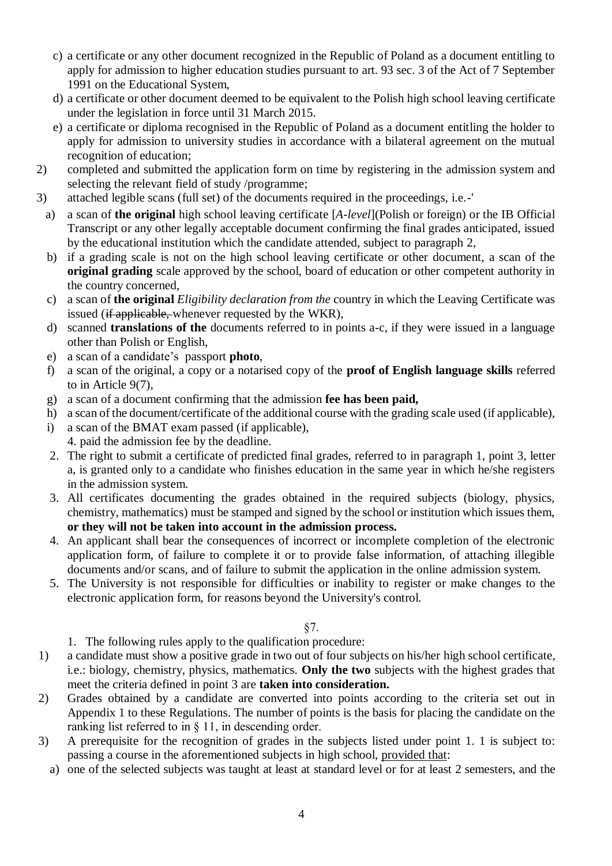- c) a certificate or any other document recognized in the Republic of Poland as a document entitling to apply for admission to higher education studies pursuant to art. 93 sec. 3 of the Act of 7 September 1991 on the Educational System,
- d) a certificate or other document deemed to be equivalent to the Polish high school leaving certificate under the legislation in force until 31 March 2015.
- e) a certificate or diploma recognised in the Republic of Poland as a document entitling the holder to apply for admission to university studies in accordance with a bilateral agreement on the mutual recognition of education;
- 2) completed and submitted the application form on time by registering in the admission system and selecting the relevant field of study /programme;
- 3) attached legible scans (full set) of the documents required in the proceedings, i.e.-'
	- a) a scan of **the original** high school leaving certificate [*A-level*](Polish or foreign) or the IB Official Transcript or any other legally acceptable document confirming the final grades anticipated, issued by the educational institution which the candidate attended, subject to paragraph 2,
	- b) if a grading scale is not on the high school leaving certificate or other document, a scan of the **original grading** scale approved by the school, board of education or other competent authority in the country concerned,
	- c) a scan of **the original** *Eligibility declaration from the* country in which the Leaving Certificate was issued (if applicable, whenever requested by the WKR),
	- d) scanned **translations of the** documents referred to in points a-c, if they were issued in a language other than Polish or English,
	- e) a scan of a candidate's passport **photo**,
	- f) a scan of the original, a copy or a notarised copy of the **proof of English language skills** referred to in Article 9(7),
	- g) a scan of a document confirming that the admission **fee has been paid,**
	- h) a scan of the document/certificate of the additional course with the grading scale used (if applicable),
	- i) a scan of the BMAT exam passed (if applicable),
	- 4. paid the admission fee by the deadline.
	- 2. The right to submit a certificate of predicted final grades, referred to in paragraph 1, point 3, letter a, is granted only to a candidate who finishes education in the same year in which he/she registers in the admission system.
	- 3. All certificates documenting the grades obtained in the required subjects (biology, physics, chemistry, mathematics) must be stamped and signed by the school or institution which issues them, **or they will not be taken into account in the admission process.**
	- 4. An applicant shall bear the consequences of incorrect or incomplete completion of the electronic application form, of failure to complete it or to provide false information, of attaching illegible documents and/or scans, and of failure to submit the application in the online admission system.
	- 5. The University is not responsible for difficulties or inability to register or make changes to the electronic application form, for reasons beyond the University's control.

#### §7.

- 1. The following rules apply to the qualification procedure:
- 1) a candidate must show a positive grade in two out of four subjects on his/her high school certificate, i.e.: biology, chemistry, physics, mathematics. **Only the two** subjects with the highest grades that meet the criteria defined in point 3 are **taken into consideration.**
- 2) Grades obtained by a candidate are converted into points according to the criteria set out in Appendix 1 to these Regulations. The number of points is the basis for placing the candidate on the ranking list referred to in § 11, in descending order.
- 3) A prerequisite for the recognition of grades in the subjects listed under point 1. 1 is subject to: passing a course in the aforementioned subjects in high school, provided that:
	- a) one of the selected subjects was taught at least at standard level or for at least 2 semesters, and the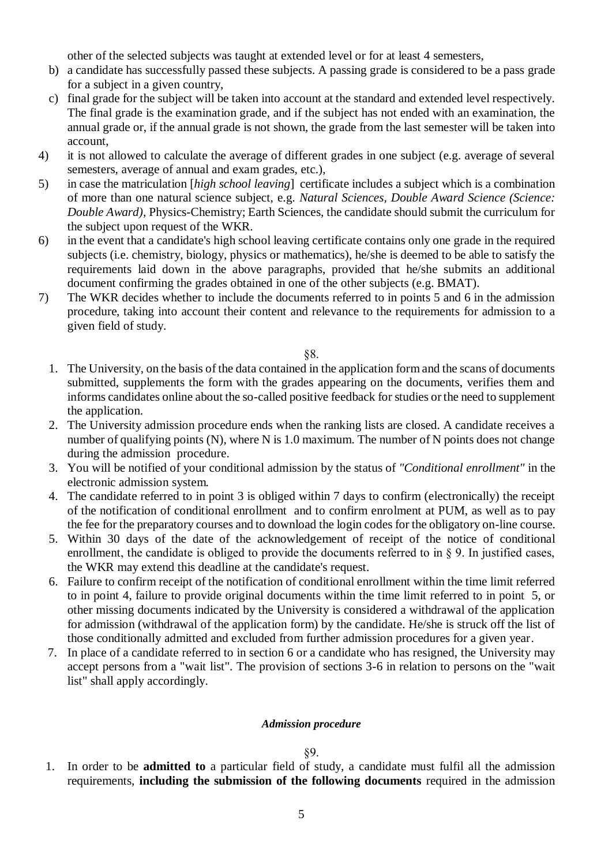other of the selected subjects was taught at extended level or for at least 4 semesters,

- b) a candidate has successfully passed these subjects. A passing grade is considered to be a pass grade for a subject in a given country,
- c) final grade for the subject will be taken into account at the standard and extended level respectively. The final grade is the examination grade, and if the subject has not ended with an examination, the annual grade or, if the annual grade is not shown, the grade from the last semester will be taken into account,
- 4) it is not allowed to calculate the average of different grades in one subject (e.g. average of several semesters, average of annual and exam grades, etc.),
- 5) in case the matriculation [*high school leaving*] certificate includes a subject which is a combination of more than one natural science subject, e.g. *Natural Sciences, Double Award Science (Science: Double Award),* Physics-Chemistry; Earth Sciences, the candidate should submit the curriculum for the subject upon request of the WKR.
- 6) in the event that a candidate's high school leaving certificate contains only one grade in the required subjects (i.e. chemistry, biology, physics or mathematics), he/she is deemed to be able to satisfy the requirements laid down in the above paragraphs, provided that he/she submits an additional document confirming the grades obtained in one of the other subjects (e.g. BMAT).
- 7) The WKR decides whether to include the documents referred to in points 5 and 6 in the admission procedure, taking into account their content and relevance to the requirements for admission to a given field of study.

§8.

- 1. The University, on the basis of the data contained in the application form and the scans of documents submitted, supplements the form with the grades appearing on the documents, verifies them and informs candidates online about the so-called positive feedback for studies or the need to supplement the application.
- 2. The University admission procedure ends when the ranking lists are closed. A candidate receives a number of qualifying points (N), where N is 1.0 maximum. The number of N points does not change during the admission procedure.
- 3. You will be notified of your conditional admission by the status of *"Conditional enrollment"* in the electronic admission system*.*
- 4. The candidate referred to in point 3 is obliged within 7 days to confirm (electronically) the receipt of the notification of conditional enrollment and to confirm enrolment at PUM, as well as to pay the fee for the preparatory courses and to download the login codes for the obligatory on-line course.
- 5. Within 30 days of the date of the acknowledgement of receipt of the notice of conditional enrollment, the candidate is obliged to provide the documents referred to in § 9. In justified cases, the WKR may extend this deadline at the candidate's request.
- 6. Failure to confirm receipt of the notification of conditional enrollment within the time limit referred to in point 4, failure to provide original documents within the time limit referred to in point 5, or other missing documents indicated by the University is considered a withdrawal of the application for admission (withdrawal of the application form) by the candidate. He/she is struck off the list of those conditionally admitted and excluded from further admission procedures for a given year.
- 7. In place of a candidate referred to in section 6 or a candidate who has resigned, the University may accept persons from a "wait list". The provision of sections 3-6 in relation to persons on the "wait list" shall apply accordingly.

#### *Admission procedure*

#### §9.

1. In order to be **admitted to** a particular field of study, a candidate must fulfil all the admission requirements, **including the submission of the following documents** required in the admission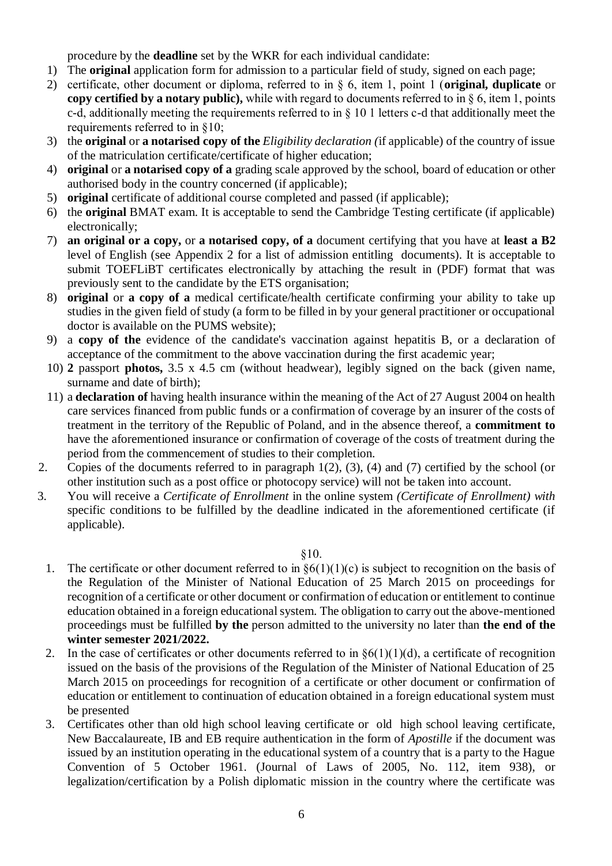procedure by the **deadline** set by the WKR for each individual candidate:

- 1) The **original** application form for admission to a particular field of study, signed on each page;
- 2) certificate, other document or diploma, referred to in § 6, item 1, point 1 (**original, duplicate** or **copy certified by a notary public),** while with regard to documents referred to in § 6, item 1, points c-d, additionally meeting the requirements referred to in  $\S$  10 1 letters c-d that additionally meet the requirements referred to in §10;
- 3) the **original** or **a notarised copy of the** *Eligibility declaration (*if applicable) of the country of issue of the matriculation certificate/certificate of higher education;
- 4) **original** or **a notarised copy of a** grading scale approved by the school, board of education or other authorised body in the country concerned (if applicable);
- 5) **original** certificate of additional course completed and passed (if applicable);
- 6) the **original** BMAT exam. It is acceptable to send the Cambridge Testing certificate (if applicable) electronically;
- 7) **an original or a copy,** or **a notarised copy, of a** document certifying that you have at **least a B2**  level of English (see Appendix 2 for a list of admission entitling documents). It is acceptable to submit TOEFLiBT certificates electronically by attaching the result in (PDF) format that was previously sent to the candidate by the ETS organisation;
- 8) **original** or **a copy of a** medical certificate/health certificate confirming your ability to take up studies in the given field of study (a form to be filled in by your general practitioner or occupational doctor is available on the PUMS website);
- 9) a **copy of the** evidence of the candidate's vaccination against hepatitis B, or a declaration of acceptance of the commitment to the above vaccination during the first academic year;
- 10) **2** passport **photos,** 3.5 x 4.5 cm (without headwear), legibly signed on the back (given name, surname and date of birth);
- 11) a **declaration of** having health insurance within the meaning of the Act of 27 August 2004 on health care services financed from public funds or a confirmation of coverage by an insurer of the costs of treatment in the territory of the Republic of Poland, and in the absence thereof, a **commitment to**  have the aforementioned insurance or confirmation of coverage of the costs of treatment during the period from the commencement of studies to their completion.
- 2. Copies of the documents referred to in paragraph 1(2), (3), (4) and (7) certified by the school (or other institution such as a post office or photocopy service) will not be taken into account.
- 3. You will receive a *Certificate of Enrollment* in the online system *(Certificate of Enrollment) with*  specific conditions to be fulfilled by the deadline indicated in the aforementioned certificate (if applicable).

§10.

- 1. The certificate or other document referred to in  $\frac{6(1)(1)(c)}{c}$  is subject to recognition on the basis of the Regulation of the Minister of National Education of 25 March 2015 on proceedings for recognition of a certificate or other document or confirmation of education or entitlement to continue education obtained in a foreign educational system. The obligation to carry out the above-mentioned proceedings must be fulfilled **by the** person admitted to the university no later than **the end of the winter semester 2021/2022.**
- 2. In the case of certificates or other documents referred to in  $\S6(1)(1)(d)$ , a certificate of recognition issued on the basis of the provisions of the Regulation of the Minister of National Education of 25 March 2015 on proceedings for recognition of a certificate or other document or confirmation of education or entitlement to continuation of education obtained in a foreign educational system must be presented
- 3. Certificates other than old high school leaving certificate or old high school leaving certificate, New Baccalaureate, IB and EB require authentication in the form of *Apostille* if the document was issued by an institution operating in the educational system of a country that is a party to the Hague Convention of 5 October 1961. (Journal of Laws of 2005, No. 112, item 938), or legalization/certification by a Polish diplomatic mission in the country where the certificate was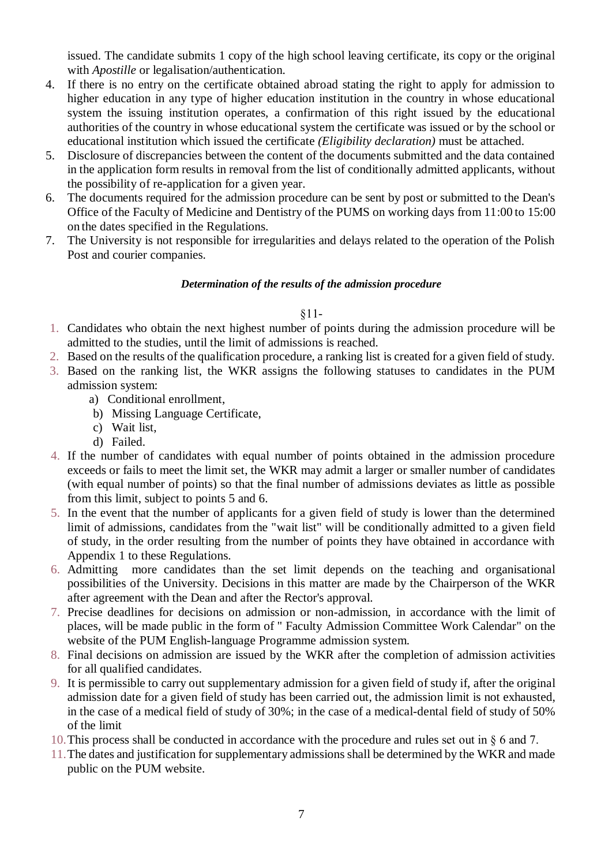issued. The candidate submits 1 copy of the high school leaving certificate, its copy or the original with *Apostille* or legalisation/authentication.

- 4. If there is no entry on the certificate obtained abroad stating the right to apply for admission to higher education in any type of higher education institution in the country in whose educational system the issuing institution operates, a confirmation of this right issued by the educational authorities of the country in whose educational system the certificate was issued or by the school or educational institution which issued the certificate *(Eligibility declaration)* must be attached.
- 5. Disclosure of discrepancies between the content of the documents submitted and the data contained in the application form results in removal from the list of conditionally admitted applicants, without the possibility of re-application for a given year.
- 6. The documents required for the admission procedure can be sent by post or submitted to the Dean's Office of the Faculty of Medicine and Dentistry of the PUMS on working days from 11:00 to 15:00 on the dates specified in the Regulations.
- 7. The University is not responsible for irregularities and delays related to the operation of the Polish Post and courier companies.

#### *Determination of the results of the admission procedure*

#### §11-

- 1. Candidates who obtain the next highest number of points during the admission procedure will be admitted to the studies, until the limit of admissions is reached.
- 2. Based on the results of the qualification procedure, a ranking list is created for a given field of study.
- 3. Based on the ranking list, the WKR assigns the following statuses to candidates in the PUM admission system:
	- a) Conditional enrollment,
	- b) Missing Language Certificate,
	- c) Wait list,
	- d) Failed.
- 4. If the number of candidates with equal number of points obtained in the admission procedure exceeds or fails to meet the limit set, the WKR may admit a larger or smaller number of candidates (with equal number of points) so that the final number of admissions deviates as little as possible from this limit, subject to points 5 and 6.
- 5. In the event that the number of applicants for a given field of study is lower than the determined limit of admissions, candidates from the "wait list" will be conditionally admitted to a given field of study, in the order resulting from the number of points they have obtained in accordance with Appendix 1 to these Regulations.
- 6. Admitting more candidates than the set limit depends on the teaching and organisational possibilities of the University. Decisions in this matter are made by the Chairperson of the WKR after agreement with the Dean and after the Rector's approval.
- 7. Precise deadlines for decisions on admission or non-admission, in accordance with the limit of places, will be made public in the form of " Faculty Admission Committee Work Calendar" on the website of the PUM English-language Programme admission system.
- 8. Final decisions on admission are issued by the WKR after the completion of admission activities for all qualified candidates.
- 9. It is permissible to carry out supplementary admission for a given field of study if, after the original admission date for a given field of study has been carried out, the admission limit is not exhausted, in the case of a medical field of study of 30%; in the case of a medical-dental field of study of 50% of the limit
- 10.This process shall be conducted in accordance with the procedure and rules set out in § 6 and 7.
- 11.The dates and justification for supplementary admissions shall be determined by the WKR and made public on the PUM website.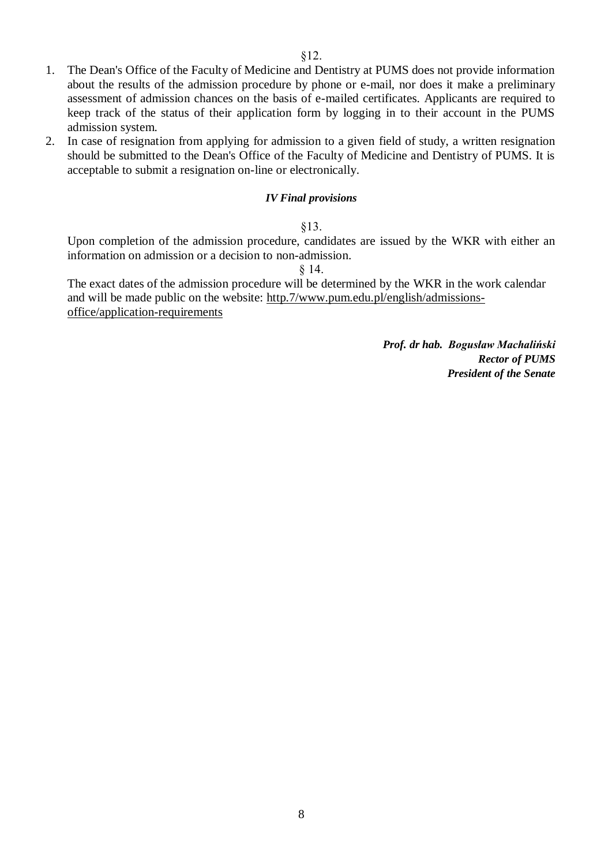- 1. The Dean's Office of the Faculty of Medicine and Dentistry at PUMS does not provide information about the results of the admission procedure by phone or e-mail, nor does it make a preliminary assessment of admission chances on the basis of e-mailed certificates. Applicants are required to keep track of the status of their application form by logging in to their account in the PUMS admission system.
- 2. In case of resignation from applying for admission to a given field of study, a written resignation should be submitted to the Dean's Office of the Faculty of Medicine and Dentistry of PUMS. It is acceptable to submit a resignation on-line or electronically.

#### *IV Final provisions*

#### §13.

Upon completion of the admission procedure, candidates are issued by the WKR with either an information on admission or a decision to non-admission.

§ 14.

The exact dates of the admission procedure will be determined by the WKR in the work calendar and will be made public on the website: http.7/www.pum.edu.pl/english/admissionsoffice/application-requirements

> *Prof. dr hab. Bogusław Machaliński Rector of PUMS President of the Senate*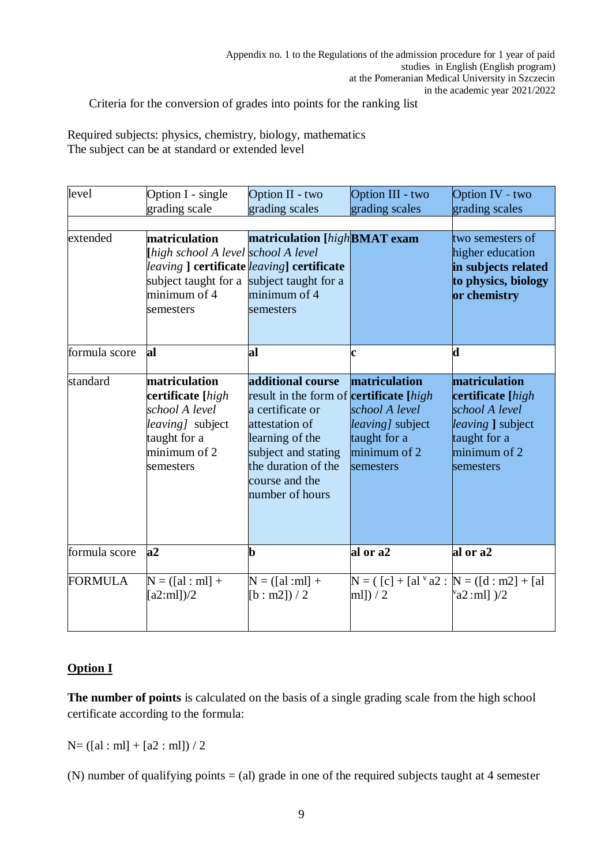Criteria for the conversion of grades into points for the ranking list

Required subjects: physics, chemistry, biology, mathematics The subject can be at standard or extended level

| level          | Option I - single<br>grading scale                                                                                                                                          | Option II - two<br>grading scales                                                                                                                                                                               | Option III - two<br>grading scales                                                               | Option IV - two<br>grading scales                                                                                      |
|----------------|-----------------------------------------------------------------------------------------------------------------------------------------------------------------------------|-----------------------------------------------------------------------------------------------------------------------------------------------------------------------------------------------------------------|--------------------------------------------------------------------------------------------------|------------------------------------------------------------------------------------------------------------------------|
|                |                                                                                                                                                                             |                                                                                                                                                                                                                 |                                                                                                  |                                                                                                                        |
| extended       | matriculation<br>[high school A level school A level<br>leaving] certificate leaving] certificate<br>subject taught for a subject taught for a<br>minimum of 4<br>semesters | matriculation [high BMAT exam<br>minimum of 4<br>semesters                                                                                                                                                      |                                                                                                  | two semesters of<br>higher education<br>in subjects related<br>to physics, biology<br>or chemistry                     |
| formula score  | al                                                                                                                                                                          | al                                                                                                                                                                                                              | $\mathbf c$                                                                                      | d                                                                                                                      |
| standard       | matriculation<br>certificate [high<br>school A level<br><i>leaving</i> subject<br>taught for a<br>minimum of 2<br>semesters                                                 | additional course<br>result in the form of <b>certificate</b> [high<br>a certificate or<br>attestation of<br>learning of the<br>subject and stating<br>the duration of the<br>course and the<br>number of hours | matriculation<br>school A level<br>leaving] subject<br>taught for a<br>minimum of 2<br>semesters | matriculation<br>certificate [high<br>school A level<br>leaving ] subject<br>taught for a<br>minimum of 2<br>semesters |
| formula score  | a2                                                                                                                                                                          | $\mathbf b$                                                                                                                                                                                                     | al or a2                                                                                         | al or a2                                                                                                               |
| <b>FORMULA</b> | $N = ([al : ml] +$<br>[a2:ml]/2                                                                                                                                             | $N = ( [al : ml] +$<br>$[b : m2]$ ) / 2                                                                                                                                                                         | $N = ( [c] + [alv a2 : N = ([d : m2] + [al$<br>ml] $)/2$                                         | $v$ <sub>a2</sub> :ml] $)/2$                                                                                           |

## **Option I**

**The number of points** is calculated on the basis of a single grading scale from the high school certificate according to the formula:

 $N= ([al: ml] + [a2: ml]) / 2$ 

(N) number of qualifying points = (al) grade in one of the required subjects taught at 4 semester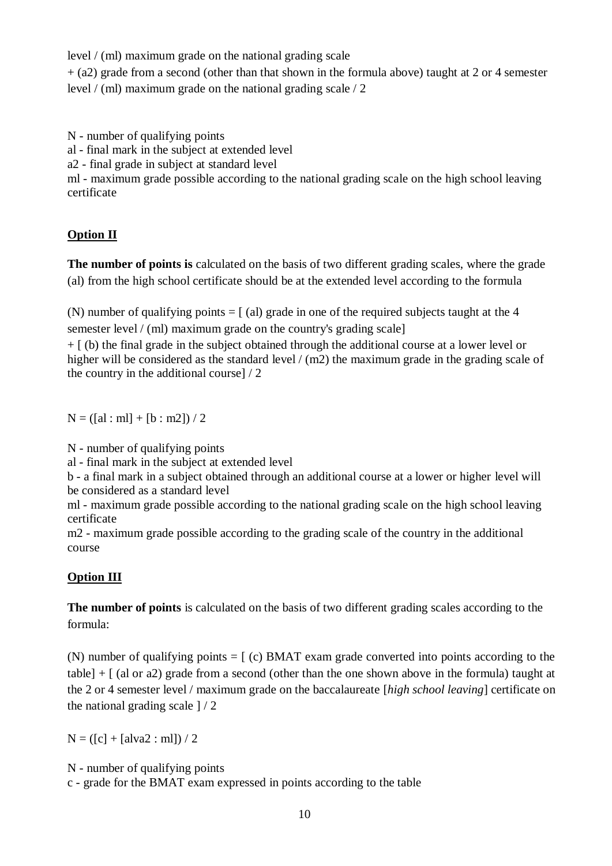level / (ml) maximum grade on the national grading scale

+ (a2) grade from a second (other than that shown in the formula above) taught at 2 or 4 semester level / (ml) maximum grade on the national grading scale / 2

N - number of qualifying points

al - final mark in the subject at extended level

a2 - final grade in subject at standard level

ml - maximum grade possible according to the national grading scale on the high school leaving certificate

# **Option II**

**The number of points is** calculated on the basis of two different grading scales, where the grade (al) from the high school certificate should be at the extended level according to the formula

(N) number of qualifying points  $=$  [ (al) grade in one of the required subjects taught at the 4 semester level / (ml) maximum grade on the country's grading scale]

+ [ (b) the final grade in the subject obtained through the additional course at a lower level or higher will be considered as the standard level / (m2) the maximum grade in the grading scale of the country in the additional course] / 2

 $N = ( [al : ml] + [b : m2]) / 2$ 

N - number of qualifying points

al - final mark in the subject at extended level

b - a final mark in a subject obtained through an additional course at a lower or higher level will be considered as a standard level

ml - maximum grade possible according to the national grading scale on the high school leaving certificate

m2 - maximum grade possible according to the grading scale of the country in the additional course

# **Option III**

**The number of points** is calculated on the basis of two different grading scales according to the formula:

(N) number of qualifying points = [ (c) BMAT exam grade converted into points according to the table]  $+$  [ (al or a2) grade from a second (other than the one shown above in the formula) taught at the 2 or 4 semester level / maximum grade on the baccalaureate [*high school leaving*] certificate on the national grading scale ] / 2

 $N = ( [c] + [alva2 : ml]) / 2$ 

N - number of qualifying points

c - grade for the BMAT exam expressed in points according to the table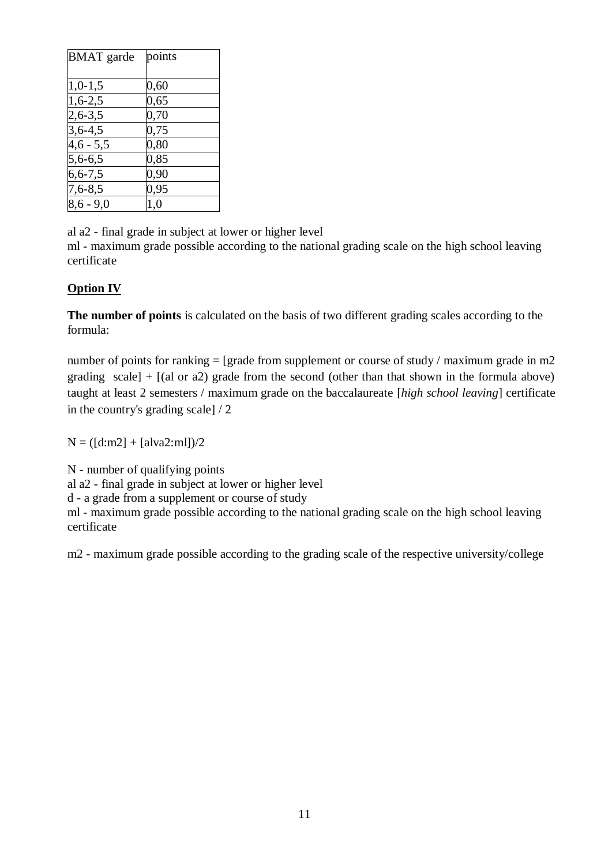| <b>BMAT</b> garde | points  |
|-------------------|---------|
| $1,0-1,5$         | 0,60    |
| $1,6-2,5$         | 0,65    |
| $2,6-3,5$         | 0,70    |
| $3,6-4,5$         | 0,75    |
| $4,6 - 5,5$       | 0,80    |
| $5,6-6,5$         | 0,85    |
| $6, 6 - 7, 5$     | 0,90    |
| $7,6 - 8,5$       | 0,95    |
| $8,6 - 9,0$       | $1{,}0$ |

al a2 - final grade in subject at lower or higher level

ml - maximum grade possible according to the national grading scale on the high school leaving certificate

# **Option IV**

**The number of points** is calculated on the basis of two different grading scales according to the formula:

number of points for ranking = [grade from supplement or course of study / maximum grade in m2 grading scale]  $+$  [(al or a2) grade from the second (other than that shown in the formula above) taught at least 2 semesters / maximum grade on the baccalaureate [*high school leaving*] certificate in the country's grading scale] / 2

 $N = (\text{[d:m2]} + \text{[alva2:m1]})/2$ 

N - number of qualifying points al a2 - final grade in subject at lower or higher level

d - a grade from a supplement or course of study

ml - maximum grade possible according to the national grading scale on the high school leaving certificate

m2 - maximum grade possible according to the grading scale of the respective university/college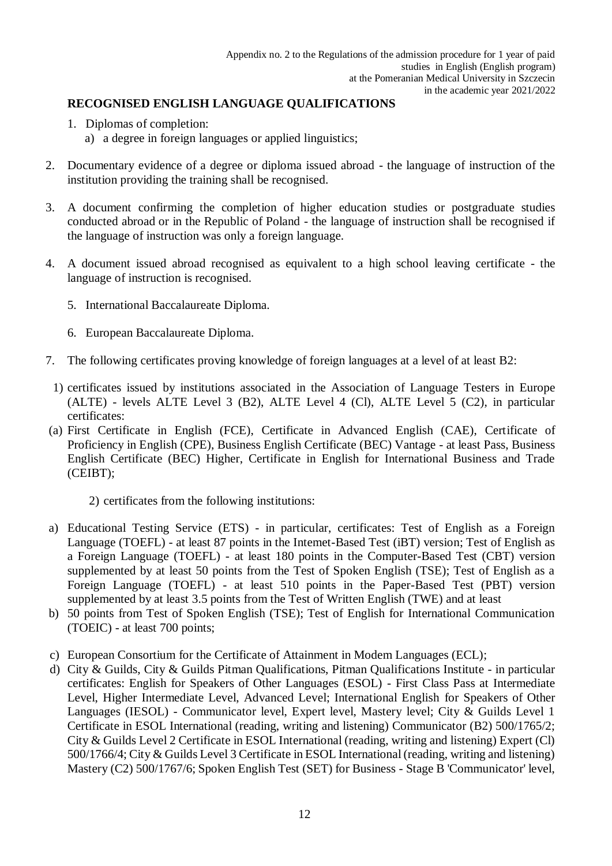# **RECOGNISED ENGLISH LANGUAGE QUALIFICATIONS**

- 1. Diplomas of completion:
	- a) a degree in foreign languages or applied linguistics;
- 2. Documentary evidence of a degree or diploma issued abroad the language of instruction of the institution providing the training shall be recognised.
- 3. A document confirming the completion of higher education studies or postgraduate studies conducted abroad or in the Republic of Poland - the language of instruction shall be recognised if the language of instruction was only a foreign language.
- 4. A document issued abroad recognised as equivalent to a high school leaving certificate the language of instruction is recognised.
	- 5. International Baccalaureate Diploma.
	- 6. European Baccalaureate Diploma.
- 7. The following certificates proving knowledge of foreign languages at a level of at least B2:
- 1) certificates issued by institutions associated in the Association of Language Testers in Europe (ALTE) - levels ALTE Level 3 (B2), ALTE Level 4 (Cl), ALTE Level 5 (C2), in particular certificates:
- (a) First Certificate in English (FCE), Certificate in Advanced English (CAE), Certificate of Proficiency in English (CPE), Business English Certificate (BEC) Vantage - at least Pass, Business English Certificate (BEC) Higher, Certificate in English for International Business and Trade (CEIBT);
	- 2) certificates from the following institutions:
- a) Educational Testing Service (ETS) in particular, certificates: Test of English as a Foreign Language (TOEFL) - at least 87 points in the Intemet-Based Test (iBT) version; Test of English as a Foreign Language (TOEFL) - at least 180 points in the Computer-Based Test (CBT) version supplemented by at least 50 points from the Test of Spoken English (TSE); Test of English as a Foreign Language (TOEFL) - at least 510 points in the Paper-Based Test (PBT) version supplemented by at least 3.5 points from the Test of Written English (TWE) and at least
- b) 50 points from Test of Spoken English (TSE); Test of English for International Communication (TOEIC) - at least 700 points;
- c) European Consortium for the Certificate of Attainment in Modem Languages (ECL);
- d) City & Guilds, City & Guilds Pitman Qualifications, Pitman Qualifications Institute in particular certificates: English for Speakers of Other Languages (ESOL) - First Class Pass at Intermediate Level, Higher Intermediate Level, Advanced Level; International English for Speakers of Other Languages (IESOL) - Communicator level, Expert level, Mastery level; City & Guilds Level 1 Certificate in ESOL International (reading, writing and listening) Communicator (B2) 500/1765/2; City & Guilds Level 2 Certificate in ESOL International (reading, writing and listening) Expert (Cl) 500/1766/4; City & Guilds Level 3 Certificate in ESOL International (reading, writing and listening) Mastery (C2) 500/1767/6; Spoken English Test (SET) for Business - Stage B 'Communicator' level,